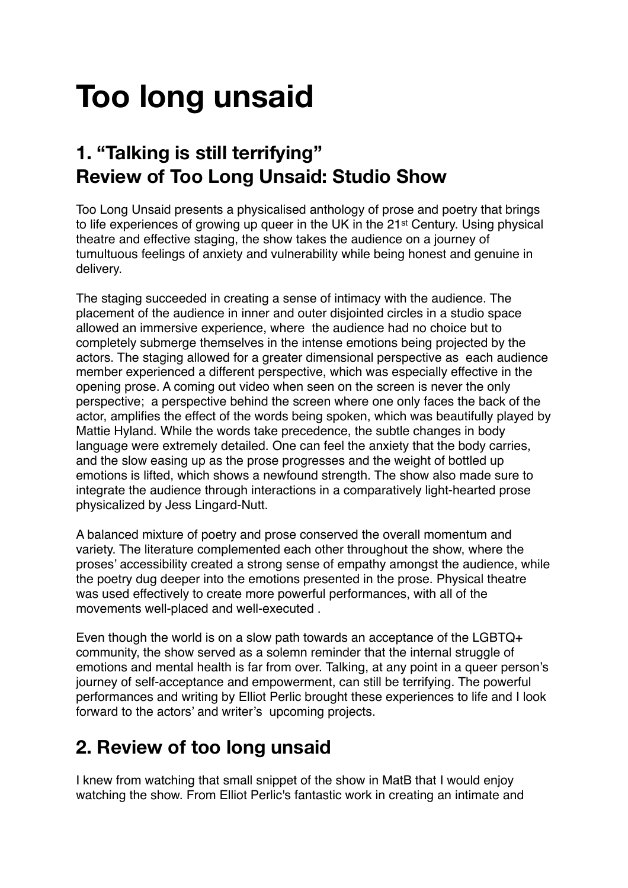# **Too long unsaid**

### **1. "Talking is still terrifying" Review of Too Long Unsaid: Studio Show**

Too Long Unsaid presents a physicalised anthology of prose and poetry that brings to life experiences of growing up queer in the UK in the 21st Century. Using physical theatre and effective staging, the show takes the audience on a journey of tumultuous feelings of anxiety and vulnerability while being honest and genuine in delivery.

The staging succeeded in creating a sense of intimacy with the audience. The placement of the audience in inner and outer disjointed circles in a studio space allowed an immersive experience, where the audience had no choice but to completely submerge themselves in the intense emotions being projected by the actors. The staging allowed for a greater dimensional perspective as each audience member experienced a different perspective, which was especially effective in the opening prose. A coming out video when seen on the screen is never the only perspective; a perspective behind the screen where one only faces the back of the actor, amplifies the effect of the words being spoken, which was beautifully played by Mattie Hyland. While the words take precedence, the subtle changes in body language were extremely detailed. One can feel the anxiety that the body carries, and the slow easing up as the prose progresses and the weight of bottled up emotions is lifted, which shows a newfound strength. The show also made sure to integrate the audience through interactions in a comparatively light-hearted prose physicalized by Jess Lingard-Nutt.

A balanced mixture of poetry and prose conserved the overall momentum and variety. The literature complemented each other throughout the show, where the proses' accessibility created a strong sense of empathy amongst the audience, while the poetry dug deeper into the emotions presented in the prose. Physical theatre was used effectively to create more powerful performances, with all of the movements well-placed and well-executed .

Even though the world is on a slow path towards an acceptance of the LGBTQ+ community, the show served as a solemn reminder that the internal struggle of emotions and mental health is far from over. Talking, at any point in a queer person's journey of self-acceptance and empowerment, can still be terrifying. The powerful performances and writing by Elliot Perlic brought these experiences to life and I look forward to the actors' and writer's upcoming projects.

#### **2. Review of too long unsaid**

I knew from watching that small snippet of the show in MatB that I would enjoy watching the show. From Elliot Perlic's fantastic work in creating an intimate and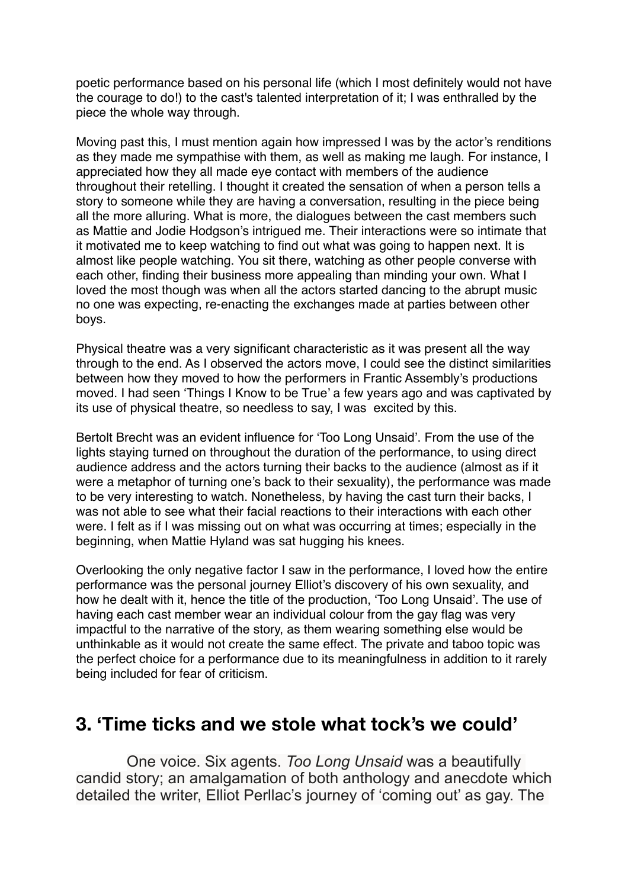poetic performance based on his personal life (which I most definitely would not have the courage to do!) to the cast's talented interpretation of it; I was enthralled by the piece the whole way through.

Moving past this, I must mention again how impressed I was by the actor's renditions as they made me sympathise with them, as well as making me laugh. For instance, I appreciated how they all made eye contact with members of the audience throughout their retelling. I thought it created the sensation of when a person tells a story to someone while they are having a conversation, resulting in the piece being all the more alluring. What is more, the dialogues between the cast members such as Mattie and Jodie Hodgson's intrigued me. Their interactions were so intimate that it motivated me to keep watching to find out what was going to happen next. It is almost like people watching. You sit there, watching as other people converse with each other, finding their business more appealing than minding your own. What I loved the most though was when all the actors started dancing to the abrupt music no one was expecting, re-enacting the exchanges made at parties between other boys.

Physical theatre was a very significant characteristic as it was present all the way through to the end. As I observed the actors move, I could see the distinct similarities between how they moved to how the performers in Frantic Assembly's productions moved. I had seen 'Things I Know to be True' a few years ago and was captivated by its use of physical theatre, so needless to say, I was excited by this.

Bertolt Brecht was an evident influence for 'Too Long Unsaid'. From the use of the lights staying turned on throughout the duration of the performance, to using direct audience address and the actors turning their backs to the audience (almost as if it were a metaphor of turning one's back to their sexuality), the performance was made to be very interesting to watch. Nonetheless, by having the cast turn their backs, I was not able to see what their facial reactions to their interactions with each other were. I felt as if I was missing out on what was occurring at times; especially in the beginning, when Mattie Hyland was sat hugging his knees.

Overlooking the only negative factor I saw in the performance, I loved how the entire performance was the personal journey Elliot's discovery of his own sexuality, and how he dealt with it, hence the title of the production, 'Too Long Unsaid'. The use of having each cast member wear an individual colour from the gay flag was very impactful to the narrative of the story, as them wearing something else would be unthinkable as it would not create the same effect. The private and taboo topic was the perfect choice for a performance due to its meaningfulness in addition to it rarely being included for fear of criticism.

#### **3. 'Time ticks and we stole what tock's we could'**

One voice. Six agents. *Too Long Unsaid* was a beautifully candid story; an amalgamation of both anthology and anecdote which detailed the writer, Elliot Perllac's journey of 'coming out' as gay. The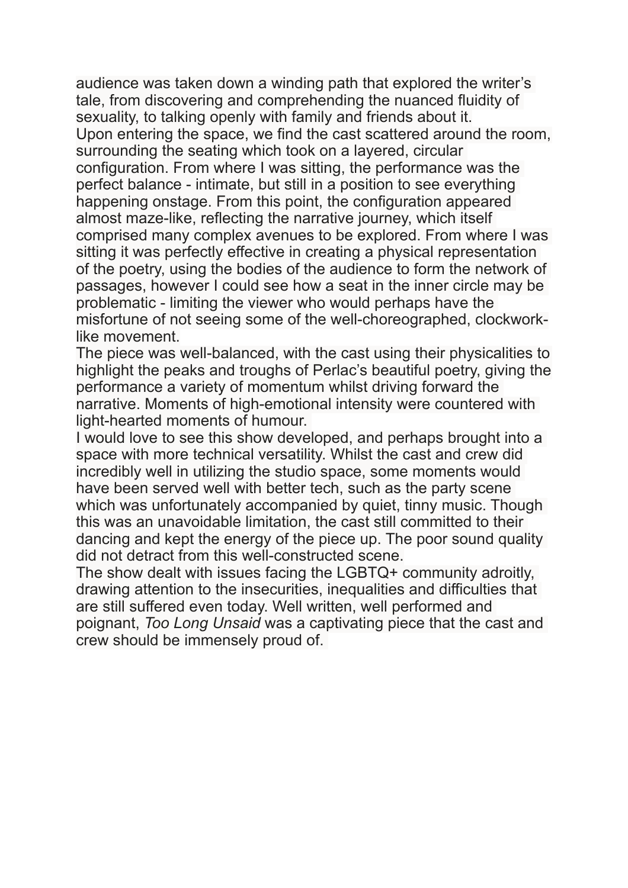audience was taken down a winding path that explored the writer's tale, from discovering and comprehending the nuanced fluidity of sexuality, to talking openly with family and friends about it. Upon entering the space, we find the cast scattered around the room, surrounding the seating which took on a layered, circular configuration. From where I was sitting, the performance was the perfect balance - intimate, but still in a position to see everything happening onstage. From this point, the configuration appeared almost maze-like, reflecting the narrative journey, which itself comprised many complex avenues to be explored. From where I was sitting it was perfectly effective in creating a physical representation of the poetry, using the bodies of the audience to form the network of passages, however I could see how a seat in the inner circle may be problematic - limiting the viewer who would perhaps have the misfortune of not seeing some of the well-choreographed, clockworklike movement.

The piece was well-balanced, with the cast using their physicalities to highlight the peaks and troughs of Perlac's beautiful poetry, giving the performance a variety of momentum whilst driving forward the narrative. Moments of high-emotional intensity were countered with light-hearted moments of humour.

I would love to see this show developed, and perhaps brought into a space with more technical versatility. Whilst the cast and crew did incredibly well in utilizing the studio space, some moments would have been served well with better tech, such as the party scene which was unfortunately accompanied by quiet, tinny music. Though this was an unavoidable limitation, the cast still committed to their dancing and kept the energy of the piece up. The poor sound quality did not detract from this well-constructed scene.

The show dealt with issues facing the LGBTQ+ community adroitly, drawing attention to the insecurities, inequalities and difficulties that are still suffered even today. Well written, well performed and poignant, *Too Long Unsaid* was a captivating piece that the cast and crew should be immensely proud of.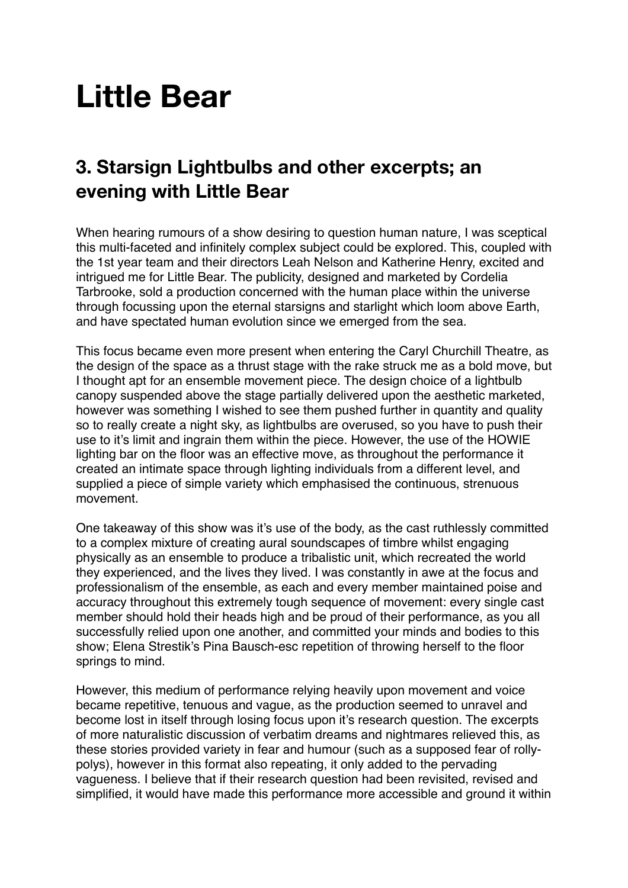## **Little Bear**

### **3. Starsign Lightbulbs and other excerpts; an evening with Little Bear**

When hearing rumours of a show desiring to question human nature, I was sceptical this multi-faceted and infinitely complex subject could be explored. This, coupled with the 1st year team and their directors Leah Nelson and Katherine Henry, excited and intrigued me for Little Bear. The publicity, designed and marketed by Cordelia Tarbrooke, sold a production concerned with the human place within the universe through focussing upon the eternal starsigns and starlight which loom above Earth, and have spectated human evolution since we emerged from the sea.

This focus became even more present when entering the Caryl Churchill Theatre, as the design of the space as a thrust stage with the rake struck me as a bold move, but I thought apt for an ensemble movement piece. The design choice of a lightbulb canopy suspended above the stage partially delivered upon the aesthetic marketed, however was something I wished to see them pushed further in quantity and quality so to really create a night sky, as lightbulbs are overused, so you have to push their use to it's limit and ingrain them within the piece. However, the use of the HOWIE lighting bar on the floor was an effective move, as throughout the performance it created an intimate space through lighting individuals from a different level, and supplied a piece of simple variety which emphasised the continuous, strenuous movement.

One takeaway of this show was it's use of the body, as the cast ruthlessly committed to a complex mixture of creating aural soundscapes of timbre whilst engaging physically as an ensemble to produce a tribalistic unit, which recreated the world they experienced, and the lives they lived. I was constantly in awe at the focus and professionalism of the ensemble, as each and every member maintained poise and accuracy throughout this extremely tough sequence of movement: every single cast member should hold their heads high and be proud of their performance, as you all successfully relied upon one another, and committed your minds and bodies to this show; Elena Strestik's Pina Bausch-esc repetition of throwing herself to the floor springs to mind.

However, this medium of performance relying heavily upon movement and voice became repetitive, tenuous and vague, as the production seemed to unravel and become lost in itself through losing focus upon it's research question. The excerpts of more naturalistic discussion of verbatim dreams and nightmares relieved this, as these stories provided variety in fear and humour (such as a supposed fear of rollypolys), however in this format also repeating, it only added to the pervading vagueness. I believe that if their research question had been revisited, revised and simplified, it would have made this performance more accessible and ground it within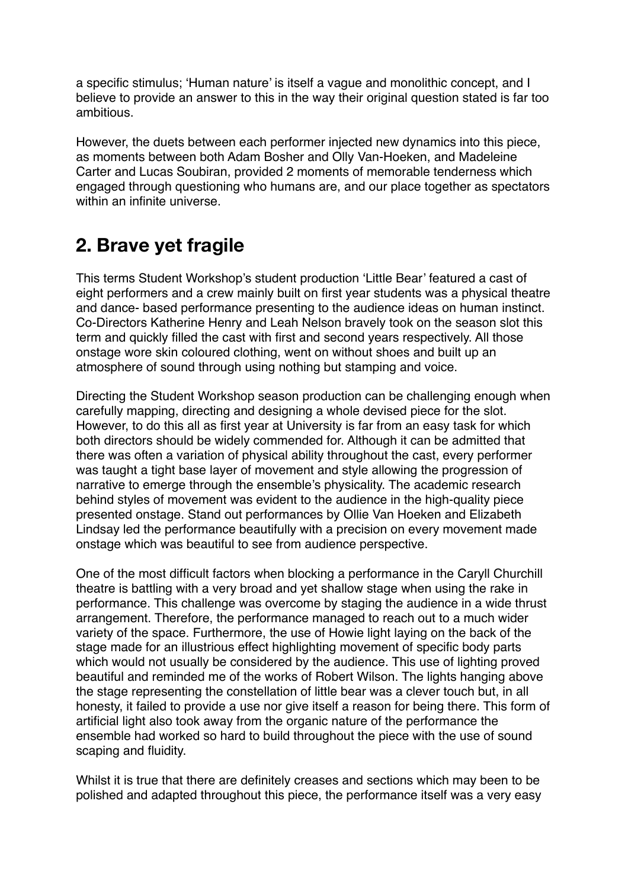a specific stimulus; 'Human nature' is itself a vague and monolithic concept, and I believe to provide an answer to this in the way their original question stated is far too ambitious.

However, the duets between each performer injected new dynamics into this piece, as moments between both Adam Bosher and Olly Van-Hoeken, and Madeleine Carter and Lucas Soubiran, provided 2 moments of memorable tenderness which engaged through questioning who humans are, and our place together as spectators within an infinite universe.

#### **2. Brave yet fragile**

This terms Student Workshop's student production 'Little Bear' featured a cast of eight performers and a crew mainly built on first year students was a physical theatre and dance- based performance presenting to the audience ideas on human instinct. Co-Directors Katherine Henry and Leah Nelson bravely took on the season slot this term and quickly filled the cast with first and second years respectively. All those onstage wore skin coloured clothing, went on without shoes and built up an atmosphere of sound through using nothing but stamping and voice.

Directing the Student Workshop season production can be challenging enough when carefully mapping, directing and designing a whole devised piece for the slot. However, to do this all as first year at University is far from an easy task for which both directors should be widely commended for. Although it can be admitted that there was often a variation of physical ability throughout the cast, every performer was taught a tight base layer of movement and style allowing the progression of narrative to emerge through the ensemble's physicality. The academic research behind styles of movement was evident to the audience in the high-quality piece presented onstage. Stand out performances by Ollie Van Hoeken and Elizabeth Lindsay led the performance beautifully with a precision on every movement made onstage which was beautiful to see from audience perspective.

One of the most difficult factors when blocking a performance in the Caryll Churchill theatre is battling with a very broad and yet shallow stage when using the rake in performance. This challenge was overcome by staging the audience in a wide thrust arrangement. Therefore, the performance managed to reach out to a much wider variety of the space. Furthermore, the use of Howie light laying on the back of the stage made for an illustrious effect highlighting movement of specific body parts which would not usually be considered by the audience. This use of lighting proved beautiful and reminded me of the works of Robert Wilson. The lights hanging above the stage representing the constellation of little bear was a clever touch but, in all honesty, it failed to provide a use nor give itself a reason for being there. This form of artificial light also took away from the organic nature of the performance the ensemble had worked so hard to build throughout the piece with the use of sound scaping and fluidity.

Whilst it is true that there are definitely creases and sections which may been to be polished and adapted throughout this piece, the performance itself was a very easy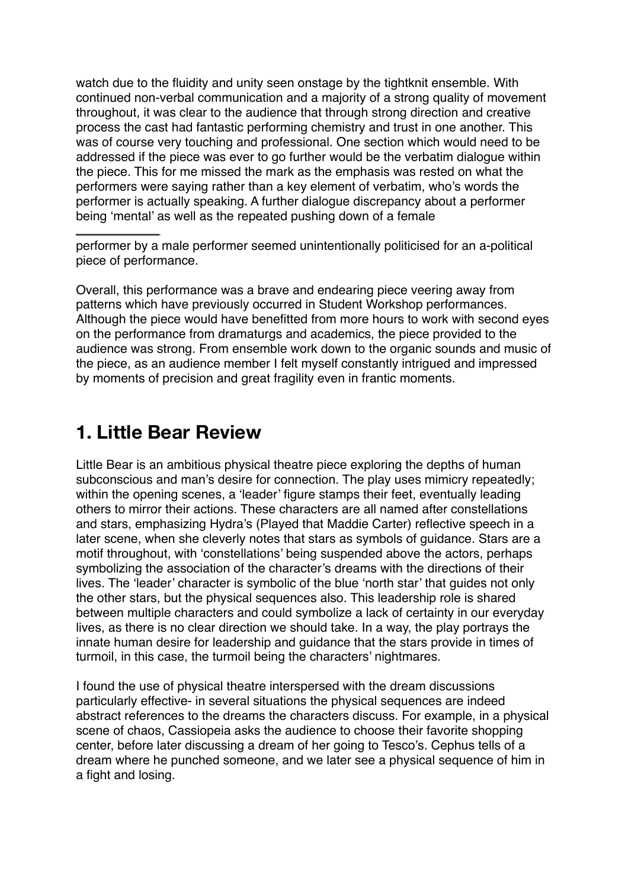watch due to the fluidity and unity seen onstage by the tightknit ensemble. With continued non-verbal communication and a majority of a strong quality of movement throughout, it was clear to the audience that through strong direction and creative process the cast had fantastic performing chemistry and trust in one another. This was of course very touching and professional. One section which would need to be addressed if the piece was ever to go further would be the verbatim dialogue within the piece. This for me missed the mark as the emphasis was rested on what the performers were saying rather than a key element of verbatim, who's words the performer is actually speaking. A further dialogue discrepancy about a performer being 'mental' as well as the repeated pushing down of a female

performer by a male performer seemed unintentionally politicised for an a-political piece of performance.

Overall, this performance was a brave and endearing piece veering away from patterns which have previously occurred in Student Workshop performances. Although the piece would have benefitted from more hours to work with second eyes on the performance from dramaturgs and academics, the piece provided to the audience was strong. From ensemble work down to the organic sounds and music of the piece, as an audience member I felt myself constantly intrigued and impressed by moments of precision and great fragility even in frantic moments.

#### **1. Little Bear Review**

Little Bear is an ambitious physical theatre piece exploring the depths of human subconscious and man's desire for connection. The play uses mimicry repeatedly; within the opening scenes, a 'leader' figure stamps their feet, eventually leading others to mirror their actions. These characters are all named after constellations and stars, emphasizing Hydra's (Played that Maddie Carter) reflective speech in a later scene, when she cleverly notes that stars as symbols of guidance. Stars are a motif throughout, with 'constellations' being suspended above the actors, perhaps symbolizing the association of the character's dreams with the directions of their lives. The 'leader' character is symbolic of the blue 'north star' that quides not only the other stars, but the physical sequences also. This leadership role is shared between multiple characters and could symbolize a lack of certainty in our everyday lives, as there is no clear direction we should take. In a way, the play portrays the innate human desire for leadership and guidance that the stars provide in times of turmoil, in this case, the turmoil being the characters' nightmares.

I found the use of physical theatre interspersed with the dream discussions particularly effective- in several situations the physical sequences are indeed abstract references to the dreams the characters discuss. For example, in a physical scene of chaos, Cassiopeia asks the audience to choose their favorite shopping center, before later discussing a dream of her going to Tesco's. Cephus tells of a dream where he punched someone, and we later see a physical sequence of him in a fight and losing.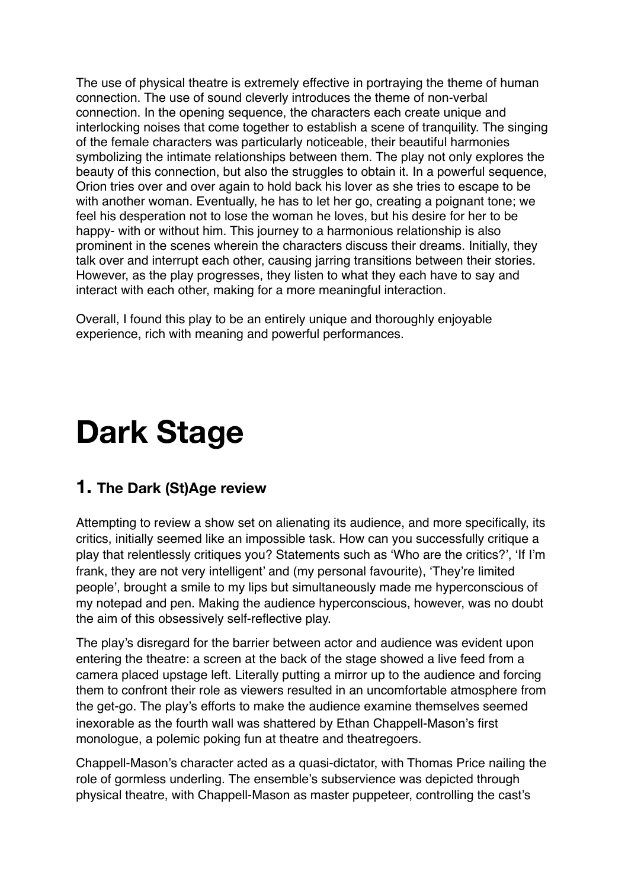The use of physical theatre is extremely effective in portraying the theme of human connection. The use of sound cleverly introduces the theme of non-verbal connection. In the opening sequence, the characters each create unique and interlocking noises that come together to establish a scene of tranquility. The singing of the female characters was particularly noticeable, their beautiful harmonies symbolizing the intimate relationships between them. The play not only explores the beauty of this connection, but also the struggles to obtain it. In a powerful sequence, Orion tries over and over again to hold back his lover as she tries to escape to be with another woman. Eventually, he has to let her go, creating a poignant tone; we feel his desperation not to lose the woman he loves, but his desire for her to be happy- with or without him. This journey to a harmonious relationship is also prominent in the scenes wherein the characters discuss their dreams. Initially, they talk over and interrupt each other, causing jarring transitions between their stories. However, as the play progresses, they listen to what they each have to say and interact with each other, making for a more meaningful interaction.

Overall, I found this play to be an entirely unique and thoroughly enjoyable experience, rich with meaning and powerful performances.

## **Dark Stage**

#### **1. The Dark (St)Age review**

Attempting to review a show set on alienating its audience, and more specifically, its critics, initially seemed like an impossible task. How can you successfully critique a play that relentlessly critiques you? Statements such as 'Who are the critics?', 'If I'm frank, they are not very intelligent' and (my personal favourite), 'They're limited people', brought a smile to my lips but simultaneously made me hyperconscious of my notepad and pen. Making the audience hyperconscious, however, was no doubt the aim of this obsessively self-reflective play.

The play's disregard for the barrier between actor and audience was evident upon entering the theatre: a screen at the back of the stage showed a live feed from a camera placed upstage left. Literally putting a mirror up to the audience and forcing them to confront their role as viewers resulted in an uncomfortable atmosphere from the get-go. The play's efforts to make the audience examine themselves seemed inexorable as the fourth wall was shattered by Ethan Chappell-Mason's first monologue, a polemic poking fun at theatre and theatregoers.

Chappell-Mason's character acted as a quasi-dictator, with Thomas Price nailing the role of gormless underling. The ensemble's subservience was depicted through physical theatre, with Chappell-Mason as master puppeteer, controlling the cast's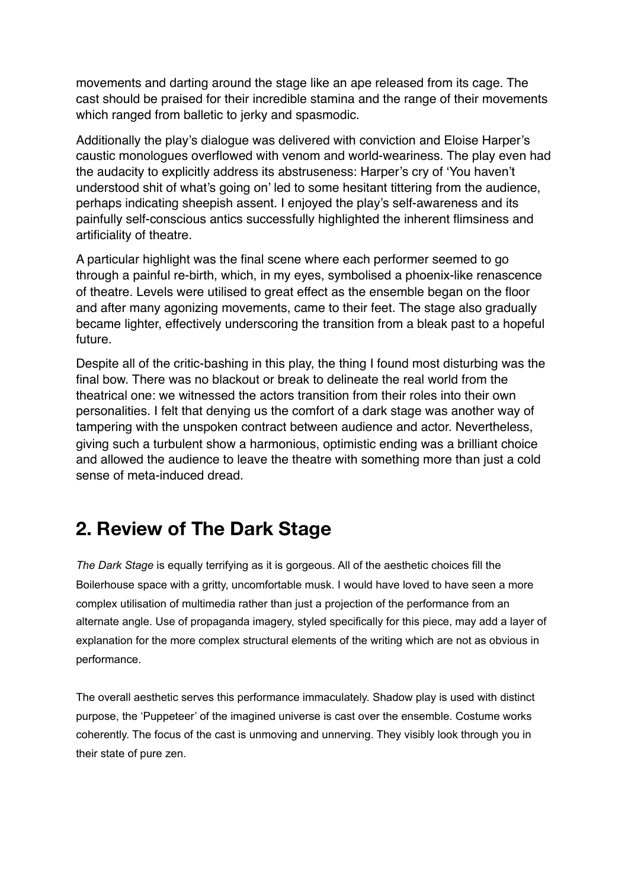movements and darting around the stage like an ape released from its cage. The cast should be praised for their incredible stamina and the range of their movements which ranged from balletic to jerky and spasmodic.

Additionally the play's dialogue was delivered with conviction and Eloise Harper's caustic monologues overflowed with venom and world-weariness. The play even had the audacity to explicitly address its abstruseness: Harper's cry of 'You haven't understood shit of what's going on' led to some hesitant tittering from the audience, perhaps indicating sheepish assent. I enjoyed the play's self-awareness and its painfully self-conscious antics successfully highlighted the inherent flimsiness and artificiality of theatre.

A particular highlight was the final scene where each performer seemed to go through a painful re-birth, which, in my eyes, symbolised a phoenix-like renascence of theatre. Levels were utilised to great effect as the ensemble began on the floor and after many agonizing movements, came to their feet. The stage also gradually became lighter, effectively underscoring the transition from a bleak past to a hopeful future.

Despite all of the critic-bashing in this play, the thing I found most disturbing was the final bow. There was no blackout or break to delineate the real world from the theatrical one: we witnessed the actors transition from their roles into their own personalities. I felt that denying us the comfort of a dark stage was another way of tampering with the unspoken contract between audience and actor. Nevertheless, giving such a turbulent show a harmonious, optimistic ending was a brilliant choice and allowed the audience to leave the theatre with something more than just a cold sense of meta-induced dread.

#### **2. Review of The Dark Stage**

*The Dark Stage* is equally terrifying as it is gorgeous. All of the aesthetic choices fill the Boilerhouse space with a gritty, uncomfortable musk. I would have loved to have seen a more complex utilisation of multimedia rather than just a projection of the performance from an alternate angle. Use of propaganda imagery, styled specifically for this piece, may add a layer of explanation for the more complex structural elements of the writing which are not as obvious in performance.

The overall aesthetic serves this performance immaculately. Shadow play is used with distinct purpose, the 'Puppeteer' of the imagined universe is cast over the ensemble. Costume works coherently. The focus of the cast is unmoving and unnerving. They visibly look through you in their state of pure zen.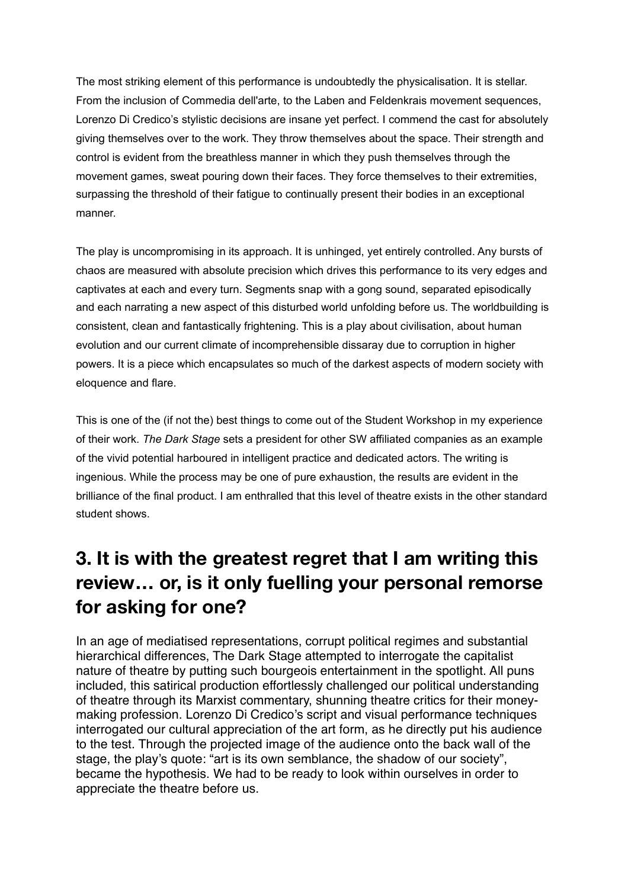The most striking element of this performance is undoubtedly the physicalisation. It is stellar. From the inclusion of Commedia dell'arte, to the Laben and Feldenkrais movement sequences, Lorenzo Di Credico's stylistic decisions are insane yet perfect. I commend the cast for absolutely giving themselves over to the work. They throw themselves about the space. Their strength and control is evident from the breathless manner in which they push themselves through the movement games, sweat pouring down their faces. They force themselves to their extremities, surpassing the threshold of their fatigue to continually present their bodies in an exceptional manner.

The play is uncompromising in its approach. It is unhinged, yet entirely controlled. Any bursts of chaos are measured with absolute precision which drives this performance to its very edges and captivates at each and every turn. Segments snap with a gong sound, separated episodically and each narrating a new aspect of this disturbed world unfolding before us. The worldbuilding is consistent, clean and fantastically frightening. This is a play about civilisation, about human evolution and our current climate of incomprehensible dissaray due to corruption in higher powers. It is a piece which encapsulates so much of the darkest aspects of modern society with eloquence and flare.

This is one of the (if not the) best things to come out of the Student Workshop in my experience of their work. *The Dark Stage* sets a president for other SW affiliated companies as an example of the vivid potential harboured in intelligent practice and dedicated actors. The writing is ingenious. While the process may be one of pure exhaustion, the results are evident in the brilliance of the final product. I am enthralled that this level of theatre exists in the other standard student shows.

### **3. It is with the greatest regret that I am writing this review… or, is it only fuelling your personal remorse for asking for one?**

In an age of mediatised representations, corrupt political regimes and substantial hierarchical differences, The Dark Stage attempted to interrogate the capitalist nature of theatre by putting such bourgeois entertainment in the spotlight. All puns included, this satirical production effortlessly challenged our political understanding of theatre through its Marxist commentary, shunning theatre critics for their moneymaking profession. Lorenzo Di Credico's script and visual performance techniques interrogated our cultural appreciation of the art form, as he directly put his audience to the test. Through the projected image of the audience onto the back wall of the stage, the play's quote: "art is its own semblance, the shadow of our society", became the hypothesis. We had to be ready to look within ourselves in order to appreciate the theatre before us.